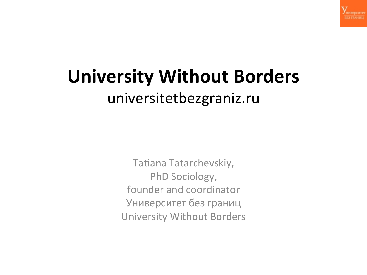

#### **University Without Borders** universitetbezgraniz.ru

Tatiana Tatarchevskiy, PhD Sociology, founder and coordinator Университет без границ University Without Borders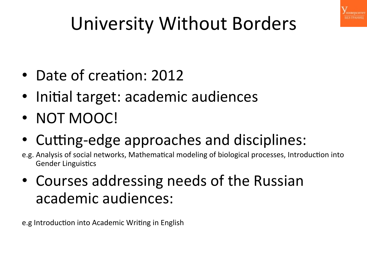

### University Without Borders

- Date of creation: 2012
- Initial target: academic audiences
- NOT MOOC!
- Cutting-edge approaches and disciplines:
- e.g. Analysis of social networks, Mathematical modeling of biological processes, Introduction into **Gender Linguistics**
- Courses addressing needs of the Russian academic audiences:

e.g Introduction into Academic Writing in English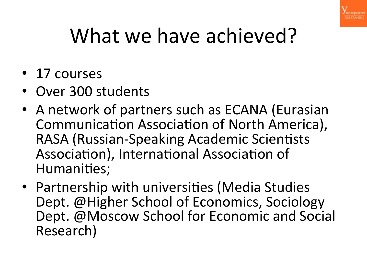

# What we have achieved?

- 17 courses
- Over 300 students
- A network of partners such as ECANA (Eurasian Communication Association of North America), RASA (Russian-Speaking Academic Scientists Association), International Association of Humanities;
- Partnership with universities (Media Studies Dept. @Higher School of Economics, Sociology Dept. @Moscow School for Economic and Social Research)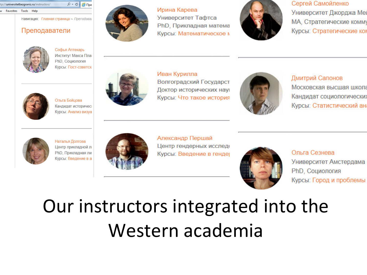

Навигация: Главная страница ~ Преподаван

#### Преподаватели



Софья Аптекарь Институт Макса План PhD. Социология Курсы: Пост-советска



Ольга Бойцова Кандидат историчесь Курсы: Анализ визуа



Ирина Карева Университет Тафтса PhD, Прикладная матема Курсы: Математическое м



Сергей Самойленко

Университет Джорджа Ме МА, Стратегические комму Курсы: Стратегические ког



Иван Курилла Волгоградский Государст Доктор исторических нау Курсы: Что такое история



Дмитрий Сапонов Московская высшая школа Кандидат социологически: Курсы: Статистический ан



Наталья Долгова Центр прикладной лі PhD, Прикладная ли Курсы: Введение в а



Александр Першай Центр гендерных исслед Курсы: Введение в генде



Ольга Сезнева Университет Амстердама PhD, Социология Курсы: Город и проблемы

#### Our instructors integrated into the Western academia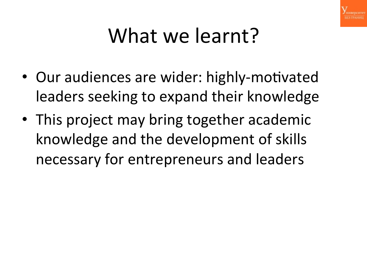

## What we learnt?

- Our audiences are wider: highly-motivated leaders seeking to expand their knowledge
- This project may bring together academic knowledge and the development of skills necessary for entrepreneurs and leaders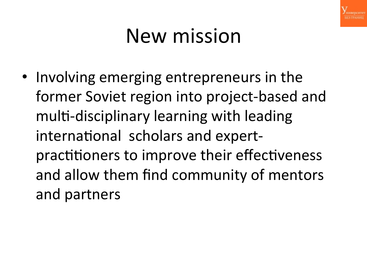

## New mission

• Involving emerging entrepreneurs in the former Soviet region into project-based and multi-disciplinary learning with leading international scholars and expertpractitioners to improve their effectiveness and allow them find community of mentors and partners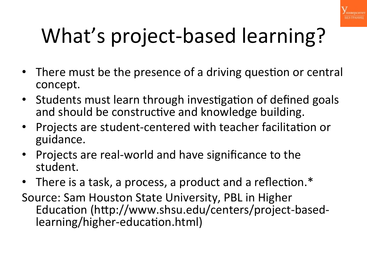

# What's project-based learning?

- There must be the presence of a driving question or central concept.
- Students must learn through investigation of defined goals and should be constructive and knowledge building.
- Projects are student-centered with teacher facilitation or guidance.
- Projects are real-world and have significance to the student.
- There is a task, a process, a product and a reflection. $*$
- Source: Sam Houston State University, PBL in Higher Education (http://www.shsu.edu/centers/project-basedlearning/higher-education.html)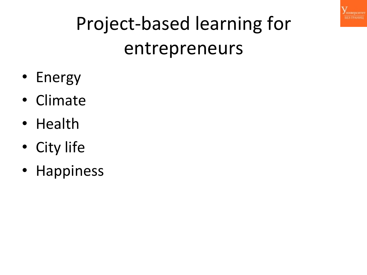

## Project-based learning for entrepreneurs

- Energy
- Climate
- Health
- City life
- Happiness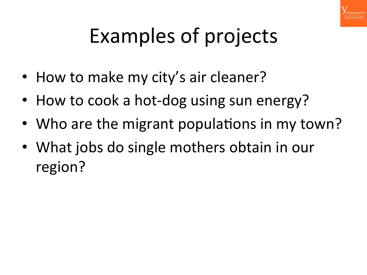

# Examples of projects

- How to make my city's air cleaner?
- How to cook a hot-dog using sun energy?
- Who are the migrant populations in my town?
- What jobs do single mothers obtain in our region?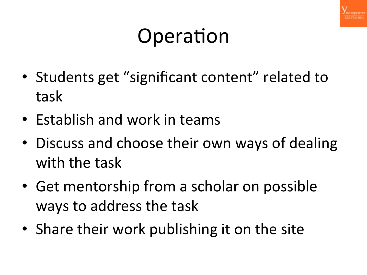

## Operation

- Students get "significant content" related to task
- Establish and work in teams
- Discuss and choose their own ways of dealing with the task
- Get mentorship from a scholar on possible ways to address the task
- Share their work publishing it on the site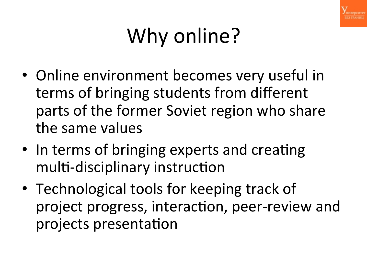

# Why online?

- Online environment becomes very useful in terms of bringing students from different parts of the former Soviet region who share the same values
- In terms of bringing experts and creating multi-disciplinary instruction
- Technological tools for keeping track of project progress, interaction, peer-review and projects presentation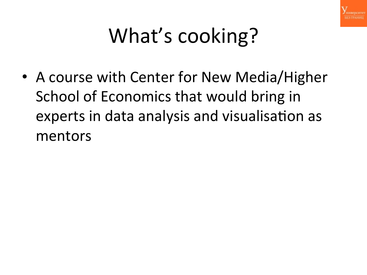

# What's cooking?

• A course with Center for New Media/Higher School of Economics that would bring in experts in data analysis and visualisation as mentors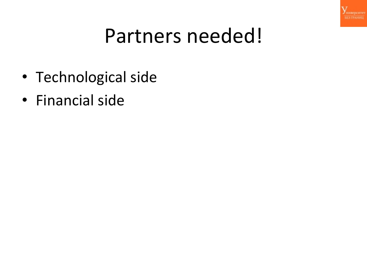

#### Partners needed!

- Technological side
- Financial side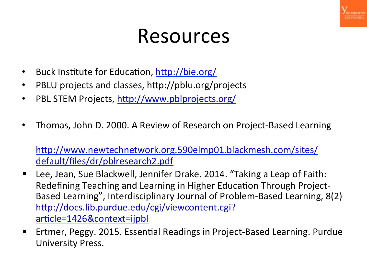

#### Resources

- Buck Institute for Education, http://bie.org/
- PBLU projects and classes, http://pblu.org/projects
- PBL STEM Projects, http://www.pblprojects.org/
- Thomas, John D. 2000. A Review of Research on Project-Based Learning

http://www.newtechnetwork.org.590elmp01.blackmesh.com/sites/ default/files/dr/pblresearch2.pdf

- Lee, Jean, Sue Blackwell, Jennifer Drake. 2014. "Taking a Leap of Faith: Redefining Teaching and Learning in Higher Education Through Project-Based Learning", Interdisciplinary Journal of Problem-Based Learning, 8(2) http://docs.lib.purdue.edu/cgi/viewcontent.cgi? article=1426&context=ijpbl
- Ertmer, Peggy. 2015. Essential Readings in Project-Based Learning. Purdue University Press.